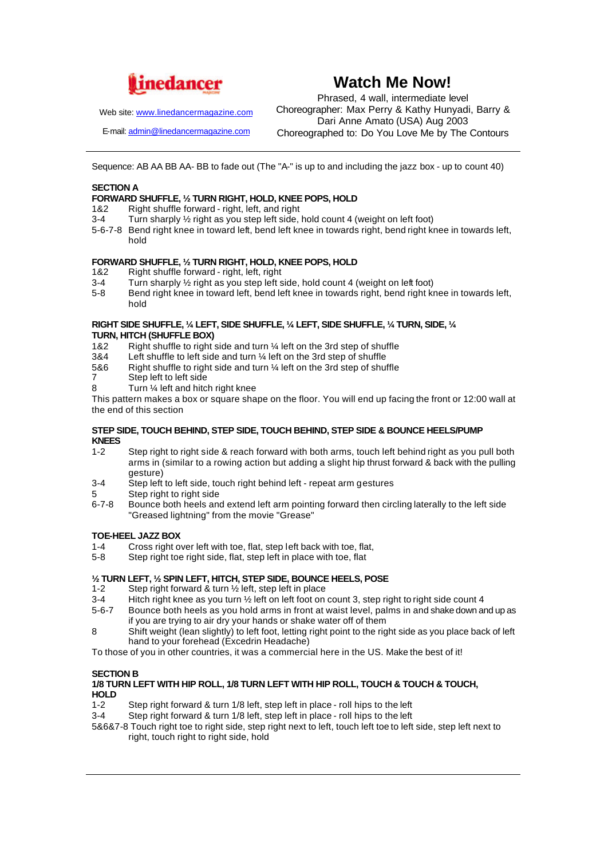

## **Watch Me Now!**

Web site: www.linedancermagazine.com

Phrased, 4 wall, intermediate level Choreographer: Max Perry & Kathy Hunyadi, Barry & Dari Anne Amato (USA) Aug 2003 Choreographed to: Do You Love Me by The Contours

E-mail: admin@linedancermagazine.com

Sequence: AB AA BB AA- BB to fade out (The "A-" is up to and including the jazz box - up to count 40)

#### **SECTION A**

#### **FORWARD SHUFFLE, ½ TURN RIGHT, HOLD, KNEE POPS, HOLD**

- 1&2 Right shuffle forward right, left, and right
- 3-4 Turn sharply ½ right as you step left side, hold count 4 (weight on left foot)
- 5-6-7-8 Bend right knee in toward left, bend left knee in towards right, bend right knee in towards left, hold

# **FORWARD SHUFFLE, 1/2 TURN RIGHT, HOLD, KNEE POPS, HOLD**<br>1&2 Right shuffle forward - right, left, right

- Right shuffle forward right, left, right
- 3-4 Turn sharply ½ right as you step left side, hold count 4 (weight on left foot)
- 5-8 Bend right knee in toward left, bend left knee in towards right, bend right knee in towards left, hold

#### **RIGHT SIDE SHUFFLE, ¼ LEFT, SIDE SHUFFLE, ¼ LEFT, SIDE SHUFFLE, ¼ TURN, SIDE, ¼ TURN, HITCH (SHUFFLE BOX)**

- 1&2 Right shuffle to right side and turn ¼ left on the 3rd step of shuffle
- 3&4 Left shuffle to left side and turn ¼ left on the 3rd step of shuffle
- Right shuffle to right side and turn  $\frac{1}{4}$  left on the 3rd step of shuffle
- Step left to left side
- 8 Turn ¼ left and hitch right knee

This pattern makes a box or square shape on the floor. You will end up facing the front or 12:00 wall at the end of this section

#### **STEP SIDE, TOUCH BEHIND, STEP SIDE, TOUCH BEHIND, STEP SIDE & BOUNCE HEELS/PUMP KNEES**

- 1-2 Step right to right side & reach forward with both arms, touch left behind right as you pull both arms in (similar to a rowing action but adding a slight hip thrust forward & back with the pulling gesture)
- 3-4 Step left to left side, touch right behind left repeat arm gestures
- 5 Step right to right side
- 6-7-8 Bounce both heels and extend left arm pointing forward then circling laterally to the left side "Greased lightning" from the movie "Grease"

#### **TOE-HEEL JAZZ BOX**

- 1-4 Cross right over left with toe, flat, step left back with toe, flat,
- 5-8 Step right toe right side, flat, step left in place with toe, flat

#### **½ TURN LEFT, ½ SPIN LEFT, HITCH, STEP SIDE, BOUNCE HEELS, POSE**

- 1-2 Step right forward & turn 1/2 left, step left in place<br>3-4 Hitch right knee as you turn 1/2 left on left foot on
- 3-4 Hitch right knee as you turn  $\frac{1}{2}$  left on left foot on count 3, step right to right side count 4<br>5-6-7 Bounce both heels as you hold arms in front at waist level, palms in and shake down are
- Bounce both heels as you hold arms in front at waist level, palms in and shake down and up as if you are trying to air dry your hands or shake water off of them
- 8 Shift weight (lean slightly) to left foot, letting right point to the right side as you place back of left hand to your forehead (Excedrin Headache)

To those of you in other countries, it was a commercial here in the US. Make the best of it!

#### **SECTION B**

#### **1/8 TURN LEFT WITH HIP ROLL, 1/8 TURN LEFT WITH HIP ROLL, TOUCH & TOUCH & TOUCH, HOLD**

1-2 Step right forward & turn 1/8 left, step left in place - roll hips to the left

3-4 Step right forward & turn 1/8 left, step left in place - roll hips to the left

5&6&7-8 Touch right toe to right side, step right next to left, touch left toe to left side, step left next to right, touch right to right side, hold